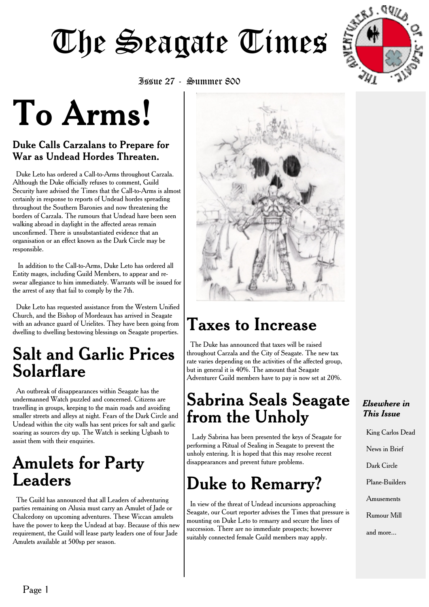

Issue 27 - Summer 800

# **To Arms!**

#### Duke Calls Carzalans to Prepare for War as Undead Hordes Threaten.

Duke Leto has ordered a Call-to-Arms throughout Carzala. Although the Duke officially refuses to comment, Guild Security have advised the Times that the Call-to-Arms is almost certainly in response to reports of Undead hordes spreading throughout the Southern Baronies and now threatening the borders of Carzala. The rumours that Undead have been seen walking abroad in daylight in the affected areas remain unconfirmed. There is unsubstantiated evidence that an organisation or an effect known as the Dark Circle may be responsible.

In addition to the Call-to-Arms, Duke Leto has ordered all Entity mages, including Guild Members, to appear and reswear allegiance to him immediately. Warrants will be issued for the arrest of any that fail to comply by the 7th.

Duke Leto has requested assistance from the Western Unified Church, and the Bishop of Mordeaux has arrived in Seagate with an advance guard of Urielites. They have been going from dwelling to dwelling bestowing blessings on Seagate properties.

### **Salt and Garlic Prices Solarflare**

An outbreak of disappearances within Seagate has the undermanned Watch puzzled and concerned. Citizens are travelling in groups, keeping to the main roads and avoiding smaller streets and alleys at night. Fears of the Dark Circle and Undead within the city walls has sent prices for salt and garlic soaring as sources dry up. The Watch is seeking Ugbash to assist them with their enquiries.

## **Amulets for Party Leaders**

The Guild has announced that all Leaders of adventuring parties remaining on Alusia must carry an Amulet of Jade or Chalcedony on upcoming adventures. These Wiccan amulets have the power to keep the Undead at bay. Because of this new requirement, the Guild will lease party leaders one of four Jade Amulets available at 500sp per season.



# **Taxes to Increase**

The Duke has announced that taxes will be raised throughout Carzala and the City of Seagate. The new tax rate varies depending on the activities of the affected group, but in general it is 40%. The amount that Seagate Adventurer Guild members have to pay is now set at 20%.

# **Sabrina Seals Seagate from the Unholy**

Lady Sabrina has been presented the keys of Seagate for performing a Ritual of Sealing in Seagate to prevent the unholy entering. It is hoped that this may resolve recent disappearances and prevent future problems.

# **Duke to Remarry?**

In view of the threat of Undead incursions approaching Seagate, our Court reporter advises the Times that pressure is mounting on Duke Leto to remarry and secure the lines of succession. There are no immediate prospects; however suitably connected female Guild members may apply.

#### *Elsewhere in This Issue*

King Carlos Dead News in Brief Dark Circle Plane-Builders

Amusements

Rumour Mill

and more...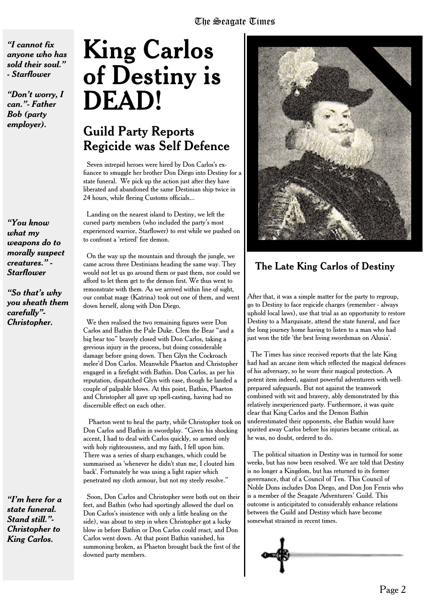*"I cannot fix anyone who has sold their soul." - Starflower*

*"Don't worry, I can."- Father Bob (party employer).*

*"You know what my weapons do to morally suspect creatures." - Starflower*

*"So that's why you sheath them carefully"- Christopher.*

*"I'm here for a state funeral. Stand still."- Christopher to King Carlos.*

# **King Carlos of Destiny is DEAD!**

### Guild Party Reports Regicide was Self Defence

Seven intrepid heroes were hired by Don Carlos's exfiancee to smuggle her brother Don Diego into Destiny for a state funeral. We pick up the action just after they have liberated and abandoned the same Destinian ship twice in 24 hours, while fleeing Customs officials...

Landing on the nearest island to Destiny, we left the cursed party members (who included the party's most experienced warrior, Starflower) to rest while we pushed on to confront a 'retired' fire demon.

On the way up the mountain and through the jungle, we came across three Destinians heading the same way. They would not let us go around them or past them, nor could we afford to let them get to the demon first. We thus went to remonstrate with them. As we arrived within line of sight, our combat mage (Katrina) took out one of them, and went down herself, along with Don Diego.

We then realised the two remaining figures were Don Carlos and Bathin the Pale Duke. Clem the Bear "and a big bear too" bravely closed with Don Carlos, taking a grevious injury in the process, but doing considerable damage before going down. Then Glyn the Cockroach melee'd Don Carlos. Meanwhile Phaeton and Christopher engaged in a firefight with Bathin. Don Carlos, as per his reputation, dispatched Glyn with ease, though he landed a couple of palpable blows. At this point, Bathin, Phaeton and Christopher all gave up spell-casting, having had no discernible effect on each other.

Phaeton went to heal the party, while Christopher took on Don Carlos and Bathin in swordplay. "Given his shocking accent, I had to deal with Carlos quickly, so armed only with holy righteousness, and my faith, I fell upon him. There was a series of sharp exchanges, which could be summarised as 'whenever he didn't stun me, I clouted him back'. Fortunately he was using a light rapier which penetrated my cloth armour, but not my steely resolve."

Soon, Don Carlos and Christopher were both out on their feet, and Bathin (who had sportingly allowed the duel on Don Carlos's insistence with only a little healing on the side), was about to step in when Christopher got a lucky blow in before Bathin or Don Carlos could react, and Don Carlos went down. At that point Bathin vanished, his summoning broken, as Phaeton brought back the first of the downed party members.



#### The Late King Carlos of Destiny

After that, it was a simple matter for the party to regroup, go to Destiny to face regicide charges (remember - always uphold local laws), use that trial as an opportunity to restore Destiny to a Marquisate, attend the state funeral, and face the long journey home having to listen to a man who had just won the title 'the best living swordsman on Alusia'.

The Times has since received reports that the late King had had an arcane item which reflected the magical defences of his adversary, so he wore their magical protection. A potent item indeed, against powerful adventurers with wellprepared safeguards. But not against the teamwork combined with wit and bravery, ably demonstrated by this relatively inexperienced party. Furthermore, it was quite clear that King Carlos and the Demon Bathin underestimated their opponents, else Bathin would have spirited away Carlos before his injuries became critical, as he was, no doubt, ordered to do.

The political situation in Destiny was in turmoil for some weeks, but has now been resolved. We are told that Destiny is no longer a Kingdom, but has returned to its former governance, that of a Council of Ten. This Council of Noble Dons includes Don Diego, and Don Jon Fenris who is a member of the Seagate Adventurers' Guild. This outcome is anticipitated to considerably enhance relations between the Guild and Destiny which have become somewhat strained in recent times.

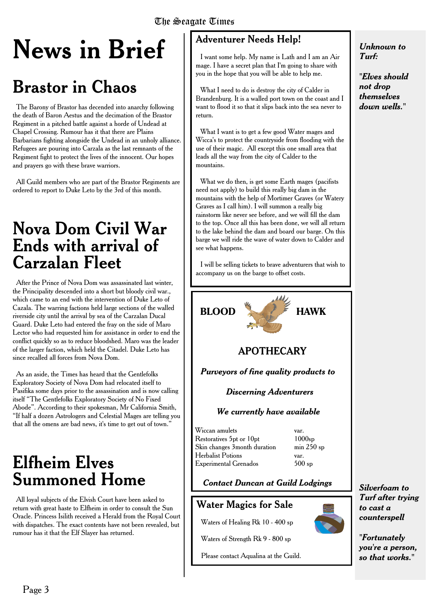# **News in Brief**

# **Brastor in Chaos**

The Barony of Brastor has decended into anarchy following the death of Baron Aestus and the decimation of the Brastor Regiment in a pitched battle against a horde of Undead at Chapel Crossing. Rumour has it that there are Plains Barbarians fighting alongside the Undead in an unholy alliance. Refugees are pouring into Carzala as the last remnants of the Regiment fight to protect the lives of the innocent. Our hopes and prayers go with these brave warriors.

All Guild members who are part of the Brastor Regiments are ordered to report to Duke Leto by the 3rd of this month.

### **Nova Dom Civil War Ends with arrival of Carzalan Fleet**

After the Prince of Nova Dom was assassinated last winter, the Principality descended into a short but bloody civil war., which came to an end with the intervention of Duke Leto of Cazala. The warring factions held large sections of the walled riverside city until the arrival by sea of the Carzalan Ducal Guard. Duke Leto had entered the fray on the side of Maro Lector who had requested him for assistance in order to end the conflict quickly so as to reduce bloodshed. Maro was the leader of the larger faction, which held the Citadel. Duke Leto has since recalled all forces from Nova Dom.

As an aside, the Times has heard that the Gentlefolks Exploratory Society of Nova Dom had relocated itself to Pasifika some days prior to the assassination and is now calling itself "The Gentlefolks Exploratory Society of No Fixed Abode". According to their spokesman, Mr California Smith, "If half a dozen Astrologers and Celestial Mages are telling you that all the omens are bad news, it's time to get out of town."

### **Elfheim Elves Summoned Home**

All loyal subjects of the Elvish Court have been asked to return with great haste to Elfheim in order to consult the Sun Oracle. Princess Isilith received a Herald from the Royal Court with dispatches. The exact contents have not been revealed, but rumour has it that the Elf Slayer has returned.

#### Adventurer Needs Help!

I want some help. My name is Lath and I am an Air mage. I have a secret plan that I'm going to share with you in the hope that you will be able to help me.

What I need to do is destroy the city of Calder in Brandenburg. It is a walled port town on the coast and I want to flood it so that it slips back into the sea never to return.

What I want is to get a few good Water mages and Wicca's to protect the countryside from flooding with the use of their magic. All except this one small area that leads all the way from the city of Calder to the mountains.

What we do then, is get some Earth mages (pacifists need not apply) to build this really big dam in the mountains with the help of Mortimer Graves (or Watery Graves as I call him). I will summon a really big rainstorm like never see before, and we will fill the dam to the top. Once all this has been done, we will all return to the lake behind the dam and board our barge. On this barge we will ride the wave of water down to Calder and see what happens.

I will be selling tickets to brave adventurers that wish to accompany us on the barge to offset costs.



Waters of Strength Rk 9 - 800 sp

Please contact Aqualina at the Guild.

*Silverfoam to Turf after trying to cast a counterspell*

*"Fortunately you're a person, so that works."*

*"Elves should not drop themselves down wells."*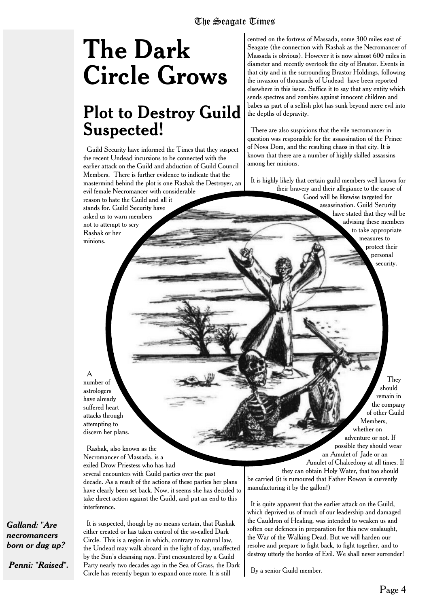# **The Dark Circle Grows**

## **Plot to Destroy Guild Suspected!**

Guild Security have informed the Times that they suspect the recent Undead incursions to be connected with the earlier attack on the Guild and abduction of Guild Council Members. There is further evidence to indicate that the mastermind behind the plot is one Rashak the Destroyer, an evil female Necromancer with considerable reason to hate the Guild and all it stands for. Guild Security have asked us to warn members not to attempt to scry Rashak or her minions.

centred on the fortress of Massada, some 300 miles east of Seagate (the connection with Rashak as the Necromancer of Massada is obvious). However it is now almost 600 miles in diameter and recently overtook the city of Brastor. Events in that city and in the surrounding Brastor Holdings, following the invasion of thousands of Undead have been reported elsewhere in this issue. Suffice it to say that any entity which sends spectres and zombies against innocent children and babes as part of a selfish plot has sunk beyond mere evil into the depths of depravity.

There are also suspicions that the vile necromancer in question was responsible for the assassination of the Prince of Nova Dom, and the resulting chaos in that city. It is known that there are a number of highly skilled assassins among her minions.

It is highly likely that certain guild members well known for their bravery and their allegiance to the cause of

> Good will be likewise targeted for assassination. Guild Security have stated that they will be advising these members to take appropriate measures to protect their personal security.

A number of astrologers have already suffered heart attacks through attempting to discern her plans.

Rashak, also known as the Necromancer of Massada, is a exiled Drow Priestess who has had

several encounters with Guild parties over the past decade. As a result of the actions of these parties her plans have clearly been set back. Now, it seems she has decided to take direct action against the Guild, and put an end to this interference.

*Galland: "Are necromancers born or dug up?*

*Penni: "Raised".*

It is suspected, though by no means certain, that Rashak either created or has taken control of the so-called Dark Circle. This is a region in which, contrary to natural law, the Undead may walk aboard in the light of day, unaffected by the Sun's cleansing rays. First encountered by a Guild Party nearly two decades ago in the Sea of Grass, the Dark Circle has recently begun to expand once more. It is still

adventure or not. If possible they should wear an Amulet of Jade or an Amulet of Chalcedony at all times. If they can obtain Holy Water, that too should

be carried (it is rumoured that Father Rowan is currently manufacturing it by the gallon!)

It is quite apparent that the earlier attack on the Guild, which deprived us of much of our leadership and damaged the Cauldron of Healing, was intended to weaken us and soften our defences in preparation for this new onslaught, the War of the Walking Dead. But we will harden our resolve and prepare to fight back, to fight together, and to destroy utterly the hordes of Evil. We shall never surrender!

By a senior Guild member.

They should remain in the company of other Guild Members, whether on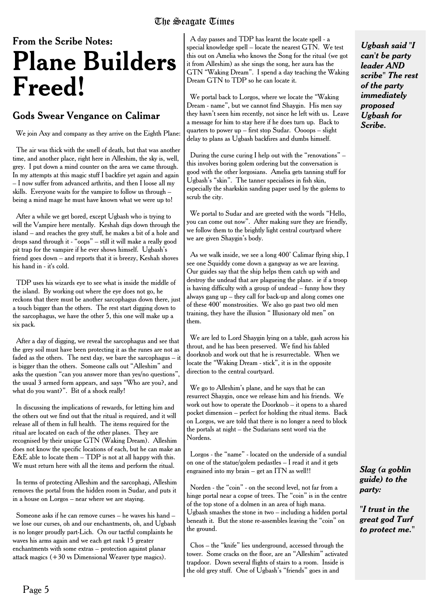# From the Scribe Notes: **Plane Builders Freed!**

#### Gods Swear Vengance on Calimar

We join Axy and company as they arrive on the Eighth Plane:

The air was thick with the smell of death, but that was another time, and another place, right here in Alleshim, the sky is, well, grey. I put down a mind counter on the area we came through. In my attempts at this magic stuff I backfire yet again and again – I now suffer from advanced arthritis, and then I loose all my skills. Everyone waits for the vampire to follow us through – being a mind mage he must have known what we were up to!

After a while we get bored, except Ugbash who is trying to will the Vampire here mentally. Keshah digs down through the island – and reaches the grey stuff, he makes a bit of a hole and drops sand through it - "oops" – still it will make a really good pit trap for the vampire if he ever shows himself. Ugbash's friend goes down – and reports that it is breezy, Keshah shoves his hand in - it's cold.

TDP uses his wizards eye to see what is inside the middle of the island. By working out where the eye does not go, he reckons that there must be another sarcophagus down there, just a touch bigger than the others. The rest start digging down to the sarcophagus, we have the other 5, this one will make up a six pack.

After a day of digging, we reveal the sarcophagus and see that the grey soil must have been protecting it as the runes are not as faded as the others. The next day, we bare the sarcophagus – it is bigger than the others. Someone calls out "Alleshim" and asks the question "can you answer more than yes/no questions", the usual 3 armed form appears, and says "Who are you?, and what do you want?". Bit of a shock really!

In discussing the implications of rewards, for letting him and the others out we find out that the ritual is required, and it will release all of them in full health. The items required for the ritual are located on each of the other planes. They are recognised by their unique GTN (Waking Dream). Alleshim does not know the specific locations of each, but he can make an E&E able to locate them  $-$  TDP is not at all happy with this. We must return here with all the items and perform the ritual.

In terms of protecting Alleshim and the sarcophagi, Alleshim removes the portal from the hidden room in Sudar, and puts it in a house on Lorgos – near where we are staying.

Someone asks if he can remove curses – he waves his hand – we lose our curses, oh and our enchantments, oh, and Ugbash is no longer proudly part-Lich. On our tactful complaints he waves his arms again and we each get rank 15 greater enchantments with some extras – protection against planar attack magics  $(+30 \text{ vs } D$ imensional Weaver type magics).

A day passes and TDP has learnt the locate spell - a special knowledge spell – locate the nearest GTN. We test this out on Amelia who knows the Song for the ritual (we got it from Alleshim) as she sings the song, her aura has the GTN "Waking Dream". I spend a day teaching the Waking Dream GTN to TDP so he can locate it.

We portal back to Lorgos, where we locate the "Waking Dream - name", but we cannot find Shaygin. His men say they havn't seen him recently, not since he left with us. Leave a message for him to stay here if he does turn up. Back to quarters to power up – first stop Sudar. Oooops – slight delay to plans as Ugbash backfires and dumbs himself.

During the curse curing I help out with the "renovations" – this involves boring golem ordering but the conversation is good with the other lorgosians. Amelia gets tanning stuff for Ugbash's "skin". The tanner specialises in fish skin, especially the sharkskin sanding paper used by the golems to scrub the city.

We portal to Sudar and are greeted with the words "Hello, you can come out now". After making sure they are friendly, we follow them to the brightly light central courtyard where we are given Shaygin's body.

As we walk inside, we see a long 400' Calimar flying ship, I see one Squiddy come down a gangway as we are leaving. Our guides say that the ship helps them catch up with and destroy the undead that are plagueing the plane. ie if a troop is having difficulty with a group of undead – funny how they always gang up – they call for back-up and along comes one of these 400' monstrosities. We also go past two old men training, they have the illusion " Illusionary old men" on them.

We are led to Lord Shaygin lying on a table, gash across his throut, and he has been preserved. We find his fabled doorknob and work out that he is resurrectable. When we locate the "Waking Dream - stick", it is in the opposite direction to the central courtyard.

We go to Alleshim's plane, and he says that he can resurrect Shaygin, once we release him and his friends. We work out how to operate the Doorknob – it opens to a shared pocket dimension – perfect for holding the ritual items. Back on Lorgos, we are told that there is no longer a need to block the portals at night – the Sudarians sent word via the Nordens.

Lorgos - the "name" - located on the underside of a sundial on one of the statue/golem pedastles – I read it and it gets engrained into my brain – get an ITN as well!!

Norden - the "coin" - on the second level, not far from a hinge portal near a copse of trees. The "coin" is in the centre of the top stone of a dolmen in an area of high mana. Ugbash smashes the stone in two – including a hidden portal beneath it. But the stone re-assembles leaving the "coin" on the ground.

Chos – the "knife" lies underground, accessed through the tower. Some cracks on the floor, are an "Alleshim" activated trapdoor. Down several flights of stairs to a room. Inside is the old grey stuff. One of Ugbash's "friends" goes in and

*Ugbash said "I can't be party leader AND scribe" The rest of the party immediately proposed Ugbash for Scribe.*

*Slag (a goblin guide) to the party:*

*"I trust in the great god Turf to protect me."*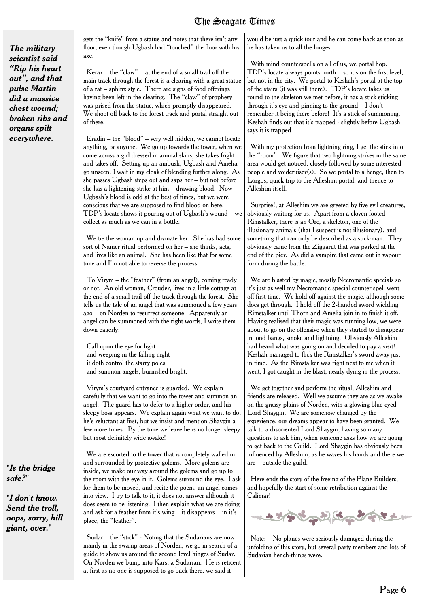*The military scientist said "Rip his heart out", and that pulse Martin did a massive chest wound; broken ribs and organs spilt everywhere.*

gets the "knife" from a statue and notes that there isn't any floor, even though Ugbash had "touched" the floor with his axe.

Kerax – the "claw" – at the end of a small trail off the main track through the forest is a clearing with a great statue of a rat – sphinx style. There are signs of food offerings having been left in the clearing. The "claw" of prophesy was prised from the statue, which promptly disappeared. We shoot off back to the forest track and portal straight out of there.

Eradin – the "blood" – very well hidden, we cannot locate anything, or anyone. We go up towards the tower, when we come across a girl dressed in animal skins, she takes fright and takes off. Setting up an ambush, Ugbash and Amelia go unseen, I wait in my cloak of blending further along. As she passes Ugbash steps out and saps her – but not before she has a lightening strike at him – drawing blood. Now Ugbash's blood is odd at the best of times, but we were conscious that we are supposed to find blood on here. TDP's locate shows it pouring out of Ugbash's wound – we collect as much as we can in a bottle.

We tie the woman up and divinate her. She has had some sort of Namer ritual performed on her – she thinks, acts, and lives like an animal. She has been like that for some time and I'm not able to reverse the process.

To Virym – the "feather" (from an angel), coming ready or not. An old woman, Crouder, lives in a little cottage at the end of a small trail off the track through the forest. She tells us the tale of an angel that was summoned a few years ago – on Norden to resurrect someone. Apparently an angel can be summoned with the right words, I write them down eagerly:

Call upon the eye for light and weeping in the falling night it doth control the starry poles and summon angels, burnished bright.

Virym's courtyard entrance is guarded. We explain carefully that we want to go into the tower and summon an angel. The guard has to defer to a higher order, and his sleepy boss appears. We explain again what we want to do, he's reluctant at first, but we insist and mention Shaygin a few more times. By the time we leave he is no longer sleepy but most definitely wide awake!

We are escorted to the tower that is completely walled in, and surrounded by protective golems. More golems are inside, we make our way around the golems and go up to the room with the eye in it. Golems surround the eye. I ask for them to be moved, and recite the poem, an angel comes into view. I try to talk to it, it does not answer although it does seem to be listening. I then explain what we are doing and ask for a feather from it's wing – it disappears – in it's place, the "feather".

Sudar – the "stick" - Noting that the Sudarians are now mainly in the swamp areas of Norden, we go in search of a guide to show us around the second level hinges of Sudar. On Norden we bump into Kars, a Sudarian. He is reticent at first as no-one is supposed to go back there, we said it

would be just a quick tour and he can come back as soon as he has taken us to all the hinges.

With mind counterspells on all of us, we portal hop. TDP's locate always points north – so it's on the first level, but not in the city. We portal to Keshah's portal at the top of the stairs (it was still there). TDP's locate takes us round to the skeleton we met before, it has a stick sticking through it's eye and pinning to the ground – I don't remember it being there before! It's a stick of summoning. Keshah finds out that it's trapped - slightly before Ugbash says it is trapped.

With my protection from lightning ring, I get the stick into the "room". We figure that two lightning strikes in the same area would get noticed, closely followed by some interested people and voidcruiser(s). So we portal to a henge, then to Lorgos, quick trip to the Alleshim portal, and thence to Alleshim itself.

Surprise!, at Alleshim we are greeted by five evil creatures, obviously waiting for us. Apart from a cloven footed Rimstalker, there is an Orc, a skeleton, one of the illusionary animals (that I suspect is not illusionary), and something that can only be described as a stick-man. They obviously came from the Ziggarut that was parked at the end of the pier. As did a vampire that came out in vapour form during the battle.

We are blasted by magic, mostly Necromantic specials so it's just as well my Necromantic special counter spell went off first time. We hold off against the magic, although some does get through. I hold off the 2-handed sword wielding Rimstalker until Thorn and Amelia join in to finish it off. Having realised that their magic was running low, we were about to go on the offensive when they started to dissappear in lond bangs, smoke and lightning. Obviously Alleshim had heard what was going on and decided to pay a visit!. Keshah managed to flick the Rimstalker's sword away just in time. As the Rimstalker was right next to me when it went, I got caught in the blast, nearly dying in the process.

We get together and perform the ritual, Alleshim and friends are released. Well we assume they are as we awake on the grassy plains of Norden, with a glowing blue-eyed Lord Shaygin. We are somehow changed by the experience, our dreams appear to have been granted. We talk to a disoriented Lord Shaygin, having so many questions to ask him, when someone asks how we are going to get back to the Guild. Lord Shaygin has obviously been influenced by Alleshim, as he waves his hands and there we are – outside the guild.

Here ends the story of the freeing of the Plane Builders, and hopefully the start of some retribution against the Calimar!



Note: No planes were seriously damaged during the unfolding of this story, but several party members and lots of Sudarian hench-things were.

*"Is the bridge safe?"*

*"I don't know. Send the troll, oops, sorry, hill giant, over."*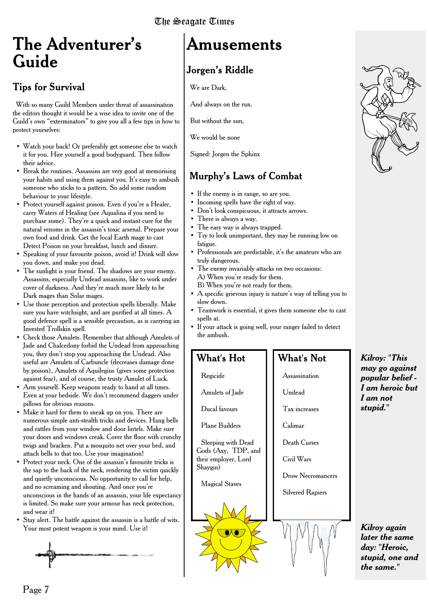# **The Adventurer's Guide**

#### Tips for Survival

With so many Guild Members under threat of assassination the editors thought it would be a wise idea to invite one of the Guild's own "exterminators" to give you all a few tips in how to protect yourselves:

- Watch your back! Or preferably get someone else to watch it for you. Hire yourself a good bodyguard. Then follow their advice.
- Break the routines. Assassins are very good at memorising your habits and using them against you. It's easy to ambush someone who sticks to a pattern. So add some random behaviour to your lifestyle.
- Protect yourself against poison. Even if you're a Healer, carry Waters of Healing (see Aqualina if you need to purchase some). They're a quick and instant cure for the natural venoms in the assassin's toxic arsenal. Prepare your own food and drink. Get the local Earth mage to cast Detect Poison on your breakfast, lunch and dinner.
- Speaking of your favourite poison, avoid it! Drink will slow you down, and make you dead.
- The sunlight is your friend. The shadows are your enemy. Assassins, especially Undead assassins, like to work under cover of darkness. And they're much more likely to be Dark mages than Solar mages.
- Use those perception and protection spells liberally. Make sure you have witchsight, and are purified at all times. A good defence spell is a sensible precaution, as is carrying an Invested Trollskin spell.
- Check those Amulets. Remember that although Amulets of Jade and Chalcedony forbid the Undead from approaching you, they don't stop you approaching the Undead. Also useful are Amulets of Carbuncle (decreases damage done by poison), Amulets of Aquilegius (gives some protection against fear), and of course, the trusty Amulet of Luck.
- Arm yourself. Keep weapons ready to hand at all times. Even at your bedside. We don't recommend daggers under pillows for obvious reasons.
- Make it hard for them to sneak up on you. There are numerous simple anti-stealth tricks and devices. Hang bells and rattles from your window and door lintels. Make sure your doors and windows creak. Cover the floor with crunchy twigs and bracken. Put a mosquito net over your bed, and attach bells to that too. Use your imagination!
- Protect your neck. One of the assassin's favourite tricks is the sap to the back of the neck, rendering the victim quickly and quietly unconscious. No opportunity to call for help, and no screaming and shouting. And once you're unconscious in the hands of an assassin, your life expectancy is limited. So make sure your armour has neck protection, and wear it!
- Stay alert. The battle against the assassin is a battle of wits. Your most potent weapon is your mind. Use it!



# **Amusements**

#### Jorgen's Riddle

We are Dark,

And always on the run.

But without the sun,

We would be none

Signed: Jorgen the Sphinx

#### Murphy's Laws of Combat

- If the enemy is in range, so are you.
- Incoming spells have the right of way.
- Don't look conspicuous, it attracts arrows.
- There is always a way.
- The easy way is always trapped.
- Try to look unimportant, they may be running low on fatigue.
- Professionals are predictable, it's the amateurs who are truly dangerous.
- The enemy invariably attacks on two occasions: A) When you're ready for them.
	- B) When you're not ready for them.
- A specific grievous injury is nature's way of telling you to slow down.
- Teamwork is essential, it gives them someone else to cast spells at.
- If your attack is going well, your ranger failed to detect the ambush.

#### What's Hot

Regicide

Amulets of Jade

Ducal favours

Plane Builders

Sleeping with Dead Gods (Axy, TDP, and their employer, Lord Shaygin)

Magical Staves

### Drow Necromancers Silvered Rapiers

What's Not

Assassination

Tax increases

Death Curses

Civil Wars

Undead

Calimar



*Kilroy: "This may go against popular belief - I am heroic but I am not stupid."*

*Kilroy again later the same day: "Heroic, stupid, one and the same."*